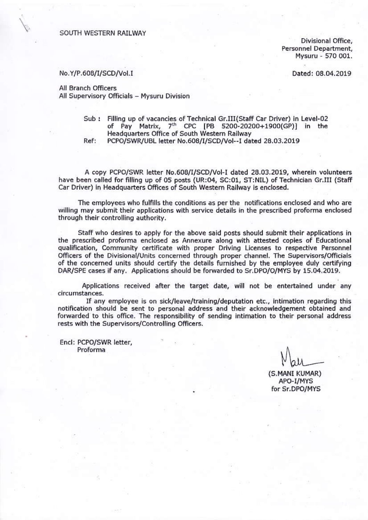SOUTH WESTERN RAILWAY

Divisional Office, Personnel Department, Mysuru - 570 001.

Dated: 08.04.2019

## No.Y/P.608/I/SCD/Vol.I

All Branch Officers All Supervisory Officials - Mysuru Division

> Sub: Filling up of vacancies of Technical Gr.III(Staff Car Driver) in Level-02 of Pay Matrix, 7<sup>th</sup> CPC [PB 5200-20200+1900(GP)] in the Headquarters Office of South Western Railway Ref:

PCPO/SWR/UBL letter No.608/I/SCD/Vol--I dated 28.03.2019

A copy PCPO/SWR letter No.608/I/SCD/Vol-I dated 28.03.2019, wherein volunteers have been called for filling up of 05 posts (UR:04, SC:01, ST:NIL) of Technician Gr.III (Staff Car Driver) in Headquarters Offices of South Western Railway is enclosed.

The employees who fulfills the conditions as per the notifications enclosed and who are willing may submit their applications with service details in the prescribed proforma enclosed through their controlling authority.

Staff who desires to apply for the above said posts should submit their applications in the prescribed proforma enclosed as Annexure along with attested copies of Educational qualification, Community certificate with proper Driving Licenses to respective Personnel Officers of the Divisional/Units concerned through proper channel. The Supervisors/Officials of the concerned units should certify the details furnished by the employee duly certifying DAR/SPE cases if any. Applications should be forwarded to Sr.DPO/O/MYS by 15.04.2019.

Applications received after the target date, will not be entertained under any circumstances.

If any employee is on sick/leave/training/deputation etc., intimation regarding this notification should be sent to personal address and their acknowledgement obtained and forwarded to this office. The responsibility of sending intimation to their personal address rests with the Supervisors/Controlling Officers.

Encl: PCPO/SWR letter, Proforma

(S.MANI KUMAR) APO-I/MYS for Sr.DPO/MYS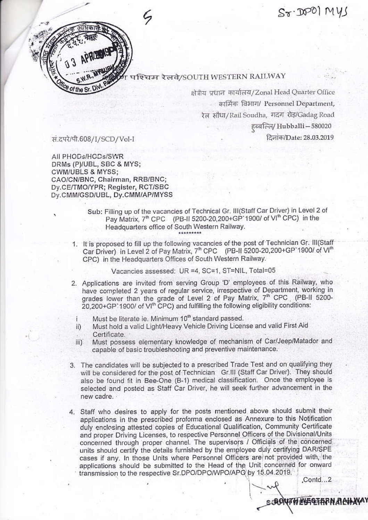$S_{\mathcal{T}}\cdot\mathbb{D}^{(0)}$  Mys



## पश्चिम रेलवे/SOUTH WESTERN RAILWAY

क्षेत्रीय प्रधान कार्यालय/Zonal Head Quarter Office कार्मिक विभाग/ Personnel Department, रेल सौधा/Rail Soudha, गदग रोड़/Gadag Road हब्बल्लि/ Hubballi - 580020 दिनांक/Date: 28.03.2019

सं.दपरे/पी.608/I/SCD/Vol-I

All PHODs/HCDs/SWR DRMs (P)/UBL, SBC & MYS; CWM/UBLS & MYSS; CAO/CN/BNC, Chairman, RRB/BNC; Dv.CE/TMO/YPR; Register, RCT/SBC Dy.CMM/GSD/UBL, Dy.CMM/AP/MYSS

- Sub: Filling up of the vacancies of Technical Gr. III(Staff Car Driver) in Level 2 of Pay Matrix, 7<sup>th</sup> CPC (PB-II 5200-20,200+GP 1900/ of VI<sup>th</sup> CPC) in the Headquarters office of South Western Railway.
- 1. It is proposed to fill up the following vacancies of the post of Technician Gr. III(Staff Car Driver) in Level 2 of Pay Matrix, 7<sup>th</sup> CPC (PB-II 5200-20,200+GP 1900/ of VI<sup>th</sup> CPC) in the Headquarters Offices of South Western Railway.

Vacancies assessed: UR =4, SC=1, ST=NIL, Total=05

- 2. Applications are invited from serving Group 'D' employees of this Railway, who have completed 2 years of regular service, irrespective of Department, working in grades lower than the grade of Level 2 of Pay Matrix, 7<sup>th</sup> CPC (PB-II 5200-20,200+GP'1900/ of VI<sup>th</sup> CPC) and fulfilling the following eligibility conditions:
	- Must be literate ie. Minimum 10<sup>th</sup> standard passed. Î.
- Must hold a valid Light/Heavy Vehicle Driving License and valid First Aid ii) Certificate.
- Must possess elementary knowledge of mechanism of Car/Jeep/Matador and  $\overline{III}$ capable of basic troubleshooting and preventive maintenance.
- 3. The candidates will be subjected to a prescribed Trade Test and on qualifying they will be considered for the post of Technician Gr.III (Staff Car Driver). They should also be found fit in Bee-One (B-1) medical classification. Once the employee is selected and posted as Staff Car Driver, he will seek further advancement in the new cadre.
- 4. Staff who desires to apply for the posts mentioned above should submit their applications in the prescribed proforma enclosed as Annexure to this Notification duly enclosing attested copies of Educational Qualification, Community Certificate and proper Driving Licenses, to respective Personnel Officers of the Divisional/Units concerned through proper channel. The supervisors / Officials of the concerned units should certify the details furnished by the employee duly certifying DAR/SPE cases if any. In those Units where Personnel Officers are not provided with, the applications should be submitted to the Head of the Unit concerned for onward transmission to the respective Sr.DPO/DPO/WPO/APO by 15.04.2019.

Contd...2

s*:*АОЧАН КАРЕТАРН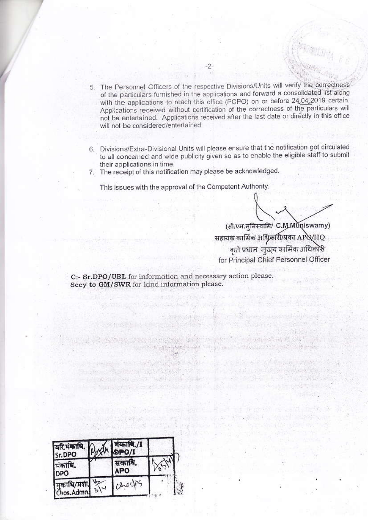5. The Personnel Officers of the respective Divisions/Units will verify the correctness of the particulars furnished in the applications and forward a consolidated list along with the applications to reach this office (PCPO) on or before 24,04,2019 certain. Applications received without certification of the correctness of the particulars will not be entertained. Applications received after the last date or directly in this office will not be considered/entertained.

 $-2-$ 

- 6. Divisions/Extra-Divisional Units will please ensure that the notification got circulated to all concerned and wide publicity given so as to enable the eligible staff to submit their applications in time.
- 7. The receipt of this notification may please be acknowledged.

This issues with the approval of the Competent Authority.

(सी.एम.मुनिस्वामि/ C.M.Muniswamy) सहायक कार्मिक अधिकारी/प्रका APQ/HQ कृते प्रधान 'मुख्य कार्मिक अधिकास for Principal Chief Personnel Officer

160 - 2011 - Barcelon Ave, 185 Development Road

couse a commercial consent and of **MEEL SANADO TA** 

**Lighter** 

"我的时候,如此,你们的时候,你们的情况是 an away as the present example and stream

C:- Sr.DPO/UBL for information and necessary action please. Secy to GM/SWR for kind information please.

**Falk** 

**Santo y si the Santo Allen della con-**

Windows and Edisburgh Strip

The Walter of Barrier

| वरिमंकाधि.<br>Sr.DPO      | काथि./I<br>IPO/I |  |
|---------------------------|------------------|--|
| ांकाधि.<br><b>DPO</b>     | सकाधि.<br>APO    |  |
| मुकाधि/प्रशा<br>Chos.Admn |                  |  |

**Sale front Five**